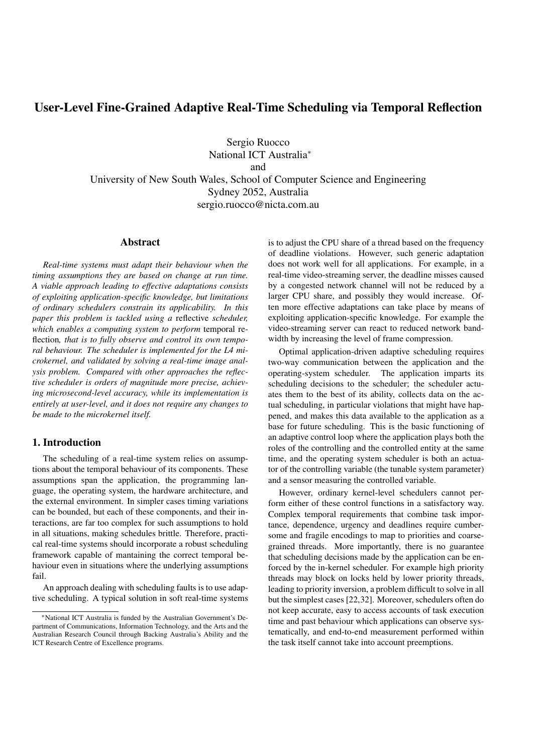# User-Level Fine-Grained Adaptive Real-Time Scheduling via Temporal Reflection

*Sergio Ruocco National ICT Australia*<sup>∗</sup> *and*

*University of New South Wales, School of Computer Science and Engineering Sydney 2052, Australia sergio.ruocco@nicta.com.au*

# Abstract

*Real-time systems must adapt their behaviour when the timing assumptions they are based on change at run time. A viable approach leading to effective adaptations consists of exploiting application-specific knowledge, but limitations of ordinary schedulers constrain its applicability. In this paper this problem is tackled using a reflective scheduler,* which enables a computing system to perform *temporal* re*flection, that is to fully observe and control its own temporal behaviour. The scheduler is implemented for the L4 microkernel, and validated by solving a real-time image analysis problem. Compared with other approaches the reflective scheduler is orders of magnitude more precise, achieving microsecond-level accuracy, while its implementation is entirely at user-level, and it does not require any changes to be made to the microkernel itself.*

### 1. Introduction

*The scheduling of a real-time system relies on assumptions about the temporal behaviour of its components. These assumptions span the application, the programming language, the operating system, the hardware architecture, and the external environment. In simpler cases timing variations can be bounded, but each of these components, and their interactions, are far too complex for such assumptions to hold in all situations, making schedules brittle. Therefore, practical real-time systems should incorporate a robust scheduling framework capable of mantaining the correct temporal behaviour even in situations where the underlying assumptions fail.*

*An approach dealing with scheduling faults is to use adaptive scheduling. A typical solution in soft real-time systems* *is to adjust the CPU share of a thread based on the frequency of deadline violations. However, such generic adaptation does not work well for all applications. For example, in a real-time video-streaming server, the deadline misses caused by a congested network channel will not be reduced by a larger CPU share, and possibly they would increase. Often more effective adaptations can take place by means of exploiting application-specific knowledge. For example the video-streaming server can react to reduced network bandwidth by increasing the level of frame compression.*

*Optimal application-driven adaptive scheduling requires two-way communication between the application and the operating-system scheduler. The application imparts its scheduling decisions to the scheduler; the scheduler actuates them to the best of its ability, collects data on the actual scheduling, in particular violations that might have happened, and makes this data available to the application as a base for future scheduling. This is the basic functioning of an adaptive control loop where the application plays both the roles of the controlling and the controlled entity at the same time, and the operating system scheduler is both an actuator of the controlling variable (the tunable system parameter) and a sensor measuring the controlled variable.*

*However, ordinary kernel-level schedulers cannot perform either of these control functions in a satisfactory way. Complex temporal requirements that combine task importance, dependence, urgency and deadlines require cumbersome and fragile encodings to map to priorities and coarsegrained threads. More importantly, there is no guarantee that scheduling decisions made by the application can be enforced by the in-kernel scheduler. For example high priority threads may block on locks held by lower priority threads, leading to priority inversion, a problem difficult to solve in all but the simplest cases [22,32]. Moreover, schedulers often do not keep accurate, easy to access accounts of task execution time and past behaviour which applications can observe systematically, and end-to-end measurement performed within the task itself cannot take into account preemptions.*

<sup>∗</sup>*National ICT Australia is funded by the Australian Government's Department of Communications, Information Technology, and the Arts and the Australian Research Council through Backing Australia's Ability and the ICT Research Centre of Excellence programs.*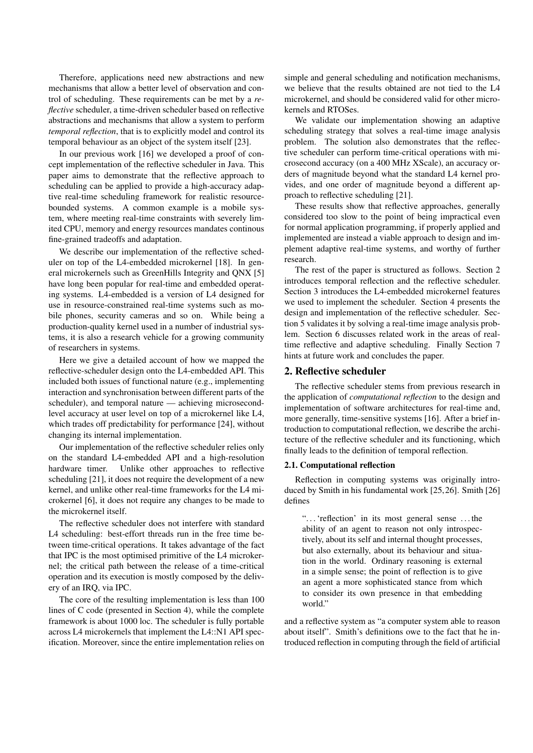*Therefore, applications need new abstractions and new mechanisms that allow a better level of observation and control of scheduling. These requirements can be met by a reflective scheduler, a time-driven scheduler based on reflective abstractions and mechanisms that allow a system to perform temporal reflection, that is to explicitly model and control its temporal behaviour as an object of the system itself [23].*

*In our previous work [16] we developed a proof of concept implementation of the reflective scheduler in Java. This paper aims to demonstrate that the reflective approach to scheduling can be applied to provide a high-accuracy adaptive real-time scheduling framework for realistic resourcebounded systems. A common example is a mobile system, where meeting real-time constraints with severely limited CPU, memory and energy resources mandates continous fine-grained tradeoffs and adaptation.*

*We describe our implementation of the reflective scheduler on top of the L4-embedded microkernel [18]. In general microkernels such as GreenHills Integrity and QNX [5] have long been popular for real-time and embedded operating systems. L4-embedded is a version of L4 designed for use in resource-constrained real-time systems such as mobile phones, security cameras and so on. While being a production-quality kernel used in a number of industrial systems, it is also a research vehicle for a growing community of researchers in systems.*

*Here we give a detailed account of how we mapped the reflective-scheduler design onto the L4-embedded API. This included both issues of functional nature (e.g., implementing interaction and synchronisation between different parts of the scheduler), and temporal nature — achieving microsecondlevel accuracy at user level on top of a microkernel like L4, which trades off predictability for performance [24], without changing its internal implementation.*

*Our implementation of the reflective scheduler relies only on the standard L4-embedded API and a high-resolution hardware timer. Unlike other approaches to reflective scheduling [21], it does not require the development of a new kernel, and unlike other real-time frameworks for the L4 microkernel [6], it does not require any changes to be made to the microkernel itself.*

*The reflective scheduler does not interfere with standard L4 scheduling: best-effort threads run in the free time between time-critical operations. It takes advantage of the fact that IPC is the most optimised primitive of the L4 microkernel; the critical path between the release of a time-critical operation and its execution is mostly composed by the delivery of an IRQ, via IPC.*

*The core of the resulting implementation is less than 100 lines of C code (presented in Section 4), while the complete framework is about 1000 loc. The scheduler is fully portable across L4 microkernels that implement the L4::N1 API specification. Moreover, since the entire implementation relies on* *simple and general scheduling and notification mechanisms, we believe that the results obtained are not tied to the L4 microkernel, and should be considered valid for other microkernels and RTOSes.*

*We validate our implementation showing an adaptive scheduling strategy that solves a real-time image analysis problem. The solution also demonstrates that the reflective scheduler can perform time-critical operations with microsecond accuracy (on a 400 MHz XScale), an accuracy orders of magnitude beyond what the standard L4 kernel provides, and one order of magnitude beyond a different approach to reflective scheduling [21].*

*These results show that reflective approaches, generally considered too slow to the point of being impractical even for normal application programming, if properly applied and implemented are instead a viable approach to design and implement adaptive real-time systems, and worthy of further research.*

*The rest of the paper is structured as follows. Section 2 introduces temporal reflection and the reflective scheduler. Section 3 introduces the L4-embedded microkernel features we used to implement the scheduler. Section 4 presents the design and implementation of the reflective scheduler. Section 5 validates it by solving a real-time image analysis problem. Section 6 discusses related work in the areas of realtime reflective and adaptive scheduling. Finally Section 7 hints at future work and concludes the paper.*

# 2. Reflective scheduler

*The reflective scheduler stems from previous research in the application of computational reflection to the design and implementation of software architectures for real-time and, more generally, time-sensitive systems [16]. After a brief introduction to computational reflection, we describe the architecture of the reflective scheduler and its functioning, which finally leads to the definition of temporal reflection.*

#### 2.1. Computational reflection

*Reflection in computing systems was originally introduced by Smith in his fundamental work [25,26]. Smith [26] defines*

*". . . 'reflection' in its most general sense . . . the ability of an agent to reason not only introspectively, about its self and internal thought processes, but also externally, about its behaviour and situation in the world. Ordinary reasoning is external in a simple sense; the point of reflection is to give an agent a more sophisticated stance from which to consider its own presence in that embedding world."*

*and a reflective system as "a computer system able to reason about itself". Smith's definitions owe to the fact that he introduced reflection in computing through the field of artificial*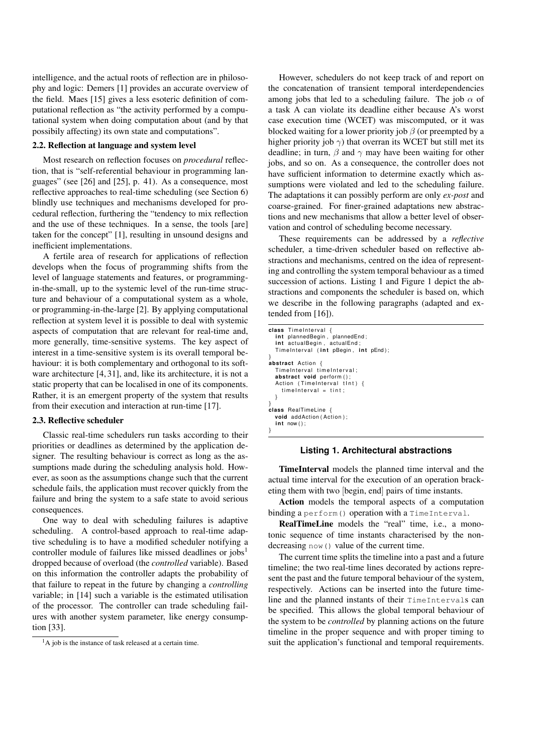*intelligence, and the actual roots of reflection are in philosophy and logic: Demers [1] provides an accurate overview of the field. Maes [15] gives a less esoteric definition of computational reflection as "the activity performed by a computational system when doing computation about (and by that possibily affecting) its own state and computations".*

### 2.2. Reflection at language and system level

*Most research on reflection focuses on procedural reflection, that is "self-referential behaviour in programming languages" (see [26] and [25], p. 41). As a consequence, most reflective approaches to real-time scheduling (see Section 6) blindly use techniques and mechanisms developed for procedural reflection, furthering the "tendency to mix reflection and the use of these techniques. In a sense, the tools [are] taken for the concept" [1], resulting in unsound designs and inefficient implementations.*

*A fertile area of research for applications of reflection develops when the focus of programming shifts from the level of language statements and features, or programmingin-the-small, up to the systemic level of the run-time structure and behaviour of a computational system as a whole, or programming-in-the-large [2]. By applying computational reflection at system level it is possible to deal with systemic aspects of computation that are relevant for real-time and, more generally, time-sensitive systems. The key aspect of interest in a time-sensitive system is its overall temporal behaviour: it is both complementary and orthogonal to its software architecture [4, 31], and, like its architecture, it is not a static property that can be localised in one of its components. Rather, it is an emergent property of the system that results from their execution and interaction at run-time [17].*

#### 2.3. Reflective scheduler

*Classic real-time schedulers run tasks according to their priorities or deadlines as determined by the application designer. The resulting behaviour is correct as long as the assumptions made during the scheduling analysis hold. However, as soon as the assumptions change such that the current schedule fails, the application must recover quickly from the failure and bring the system to a safe state to avoid serious consequences.*

*One way to deal with scheduling failures is adaptive scheduling. A control-based approach to real-time adaptive scheduling is to have a modified scheduler notifying a controller module of failures like missed deadlines or jobs<sup>1</sup> dropped because of overload (the controlled variable). Based on this information the controller adapts the probability of that failure to repeat in the future by changing a controlling variable; in [14] such a variable is the estimated utilisation of the processor. The controller can trade scheduling failures with another system parameter, like energy consumption [33].*

*However, schedulers do not keep track of and report on the concatenation of transient temporal interdependencies among jobs that led to a scheduling failure. The job*  $\alpha$  *of a task A can violate its deadline either because A's worst case execution time (WCET) was miscomputed, or it was blocked waiting for a lower priority job* β *(or preempted by a higher priority job* γ*) that overran its WCET but still met its deadline; in turn,* β *and* γ *may have been waiting for other jobs, and so on. As a consequence, the controller does not have sufficient information to determine exactly which assumptions were violated and led to the scheduling failure. The adaptations it can possibly perform are only ex-post and coarse-grained. For finer-grained adaptations new abstractions and new mechanisms that allow a better level of observation and control of scheduling become necessary.*

*These requirements can be addressed by a reflective scheduler, a time-driven scheduler based on reflective abstractions and mechanisms, centred on the idea of representing and controlling the system temporal behaviour as a timed succession of actions. Listing 1 and Figure 1 depict the abstractions and components the scheduler is based on, which we describe in the following paragraphs (adapted and extended from [16]).*

| class TimeInterval {<br>int plannedBegin, plannedEnd;<br>int actualBegin, actualEnd; |  |  |  |  |  |
|--------------------------------------------------------------------------------------|--|--|--|--|--|
| TimeInterval (int pBegin, int pEnd);                                                 |  |  |  |  |  |
| ł                                                                                    |  |  |  |  |  |
| abstract Action {                                                                    |  |  |  |  |  |
| TimeInterval timeInterval;                                                           |  |  |  |  |  |
| abstract void perform();                                                             |  |  |  |  |  |
| Action (TimeInterval tInt) {                                                         |  |  |  |  |  |
| $timelnterval = tint$ ;                                                              |  |  |  |  |  |
|                                                                                      |  |  |  |  |  |
|                                                                                      |  |  |  |  |  |
| class RealTimeLine $\{$                                                              |  |  |  |  |  |
| void addAction (Action);                                                             |  |  |  |  |  |
| int now()                                                                            |  |  |  |  |  |
|                                                                                      |  |  |  |  |  |

#### **Listing 1. Architectural abstractions**

TimeInterval *models the planned time interval and the actual time interval for the execution of an operation bracketing them with two* [*begin, end*] *pairs of time instants.*

Action *models the temporal aspects of a computation binding a* perform() *operation with a* TimeInterval*.*

RealTimeLine *models the "real" time, i.e., a monotonic sequence of time instants characterised by the nondecreasing* now() *value of the current time.*

*The current time splits the timeline into a past and a future timeline; the two real-time lines decorated by actions represent the past and the future temporal behaviour of the system, respectively. Actions can be inserted into the future timeline and the planned instants of their* TimeInterval*s can be specified. This allows the global temporal behaviour of the system to be controlled by planning actions on the future timeline in the proper sequence and with proper timing to suit the application's functional and temporal requirements.*

*<sup>1</sup>A job is the instance of task released at a certain time.*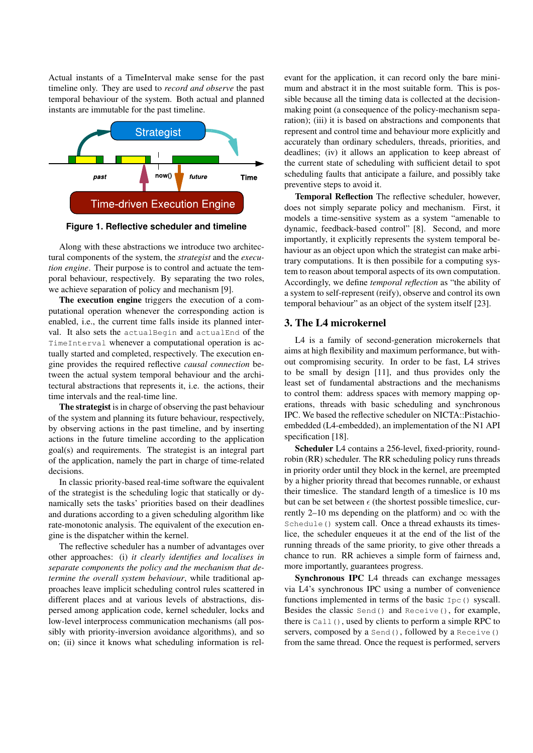*Actual instants of a TimeInterval make sense for the past timeline only. They are used to record and observe the past temporal behaviour of the system. Both actual and planned instants are immutable for the past timeline.*



**Figure 1. Reflective scheduler and timeline**

*Along with these abstractions we introduce two architectural components of the system, the strategist and the execution engine. Their purpose is to control and actuate the temporal behaviour, respectively. By separating the two roles, we achieve separation of policy and mechanism [9].*

The execution engine *triggers the execution of a computational operation whenever the corresponding action is enabled, i.e., the current time falls inside its planned interval. It also sets the* actualBegin *and* actualEnd *of the* TimeInterval *whenever a computational operation is actually started and completed, respectively. The execution engine provides the required reflective causal connection between the actual system temporal behaviour and the architectural abstractions that represents it, i.e. the actions, their time intervals and the real-time line.*

The strategist *is in charge of observing the past behaviour of the system and planning its future behaviour, respectively, by observing actions in the past timeline, and by inserting actions in the future timeline according to the application goal(s) and requirements. The strategist is an integral part of the application, namely the part in charge of time-related decisions.*

*In classic priority-based real-time software the equivalent of the strategist is the scheduling logic that statically or dynamically sets the tasks' priorities based on their deadlines and durations according to a given scheduling algorithm like rate-monotonic analysis. The equivalent of the execution engine is the dispatcher within the kernel.*

*The reflective scheduler has a number of advantages over other approaches: (i) it clearly identifies and localises in separate components the policy and the mechanism that determine the overall system behaviour, while traditional approaches leave implicit scheduling control rules scattered in different places and at various levels of abstractions, dispersed among application code, kernel scheduler, locks and low-level interprocess communication mechanisms (all possibly with priority-inversion avoidance algorithms), and so on; (ii) since it knows what scheduling information is rel-* *evant for the application, it can record only the bare minimum and abstract it in the most suitable form. This is possible because all the timing data is collected at the decisionmaking point (a consequence of the policy-mechanism separation); (iii) it is based on abstractions and components that represent and control time and behaviour more explicitly and accurately than ordinary schedulers, threads, priorities, and deadlines; (iv) it allows an application to keep abreast of the current state of scheduling with sufficient detail to spot scheduling faults that anticipate a failure, and possibly take preventive steps to avoid it.*

Temporal Reflection *The reflective scheduler, however, does not simply separate policy and mechanism. First, it models a time-sensitive system as a system "amenable to dynamic, feedback-based control" [8]. Second, and more importantly, it explicitly represents the system temporal behaviour as an object upon which the strategist can make arbitrary computations. It is then possibile for a computing system to reason about temporal aspects of its own computation. Accordingly, we define temporal reflection as "the ability of a system to self-represent (reify), observe and control its own temporal behaviour" as an object of the system itself [23].*

# 3. The L4 microkernel

*L4 is a family of second-generation microkernels that aims at high flexibility and maximum performance, but without compromising security. In order to be fast, L4 strives to be small by design [11], and thus provides only the least set of fundamental abstractions and the mechanisms to control them: address spaces with memory mapping operations, threads with basic scheduling and synchronous IPC. We based the reflective scheduler on NICTA::Pistachioembedded (L4-embedded), an implementation of the N1 API specification [18].*

Scheduler *L4 contains a 256-level, fixed-priority, roundrobin (RR) scheduler. The RR scheduling policy runs threads in priority order until they block in the kernel, are preempted by a higher priority thread that becomes runnable, or exhaust their timeslice. The standard length of a timeslice is 10 ms* but can be set between  $\epsilon$  (the shortest possible timeslice, cur*rently 2–10 ms depending on the platform) and* ∞ *with the* Schedule() *system call. Once a thread exhausts its timeslice, the scheduler enqueues it at the end of the list of the running threads of the same priority, to give other threads a chance to run. RR achieves a simple form of fairness and, more importantly, guarantees progress.*

Synchronous IPC *L4 threads can exchange messages via L4's synchronous IPC using a number of convenience functions implemented in terms of the basic* Ipc() *syscall. Besides the classic* Send() *and* Receive()*, for example, there is* Call()*, used by clients to perform a simple RPC to servers, composed by a* Send()*, followed by a* Receive() *from the same thread. Once the request is performed, servers*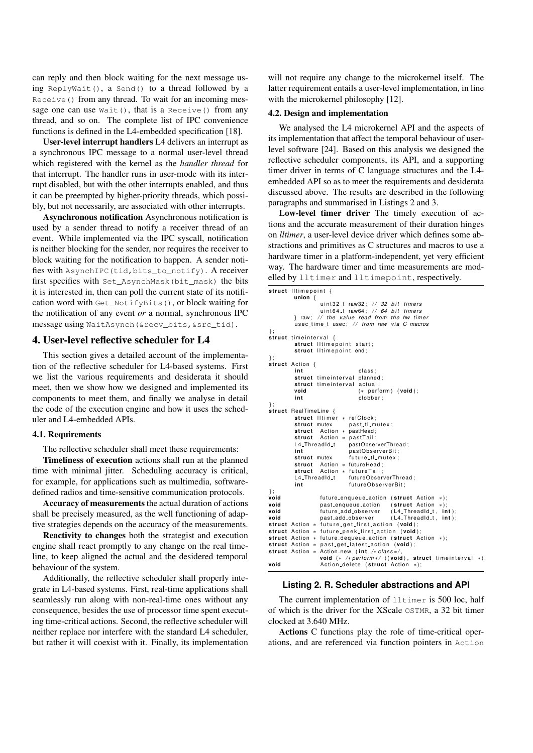*can reply and then block waiting for the next message using* ReplyWait()*, a* Send() *to a thread followed by a* Receive() *from any thread. To wait for an incoming message one can use* Wait()*, that is a* Receive() *from any thread, and so on. The complete list of IPC convenience functions is defined in the L4-embedded specification [18].*

User-level interrupt handlers *L4 delivers an interrupt as a synchronous IPC message to a normal user-level thread which registered with the kernel as the handler thread for that interrupt. The handler runs in user-mode with its interrupt disabled, but with the other interrupts enabled, and thus it can be preempted by higher-priority threads, which possibly, but not necessarily, are associated with other interrupts.*

Asynchronous notification *Asynchronous notification is used by a sender thread to notify a receiver thread of an event. While implemented via the IPC syscall, notification is neither blocking for the sender, nor requires the receiver to block waiting for the notification to happen. A sender notifies with* AsynchIPC(tid,bits\_to\_notify)*. A receiver first specifies with* Set\_AsynchMask(bit\_mask) *the bits it is interested in, then can poll the current state of its notification word with* Get\_NotifyBits()*, or block waiting for the notification of any event or a normal, synchronous IPC message using* WaitAsynch(&recv\_bits,&src\_tid)*.*

### 4. User-level reflective scheduler for L4

*This section gives a detailed account of the implementation of the reflective scheduler for L4-based systems. First we list the various requirements and desiderata it should meet, then we show how we designed and implemented its components to meet them, and finally we analyse in detail the code of the execution engine and how it uses the scheduler and L4-embedded APIs.*

### 4.1. Requirements

*The reflective scheduler shall meet these requirements:*

Timeliness of execution *actions shall run at the planned time with minimal jitter. Scheduling accuracy is critical, for example, for applications such as multimedia, softwaredefined radios and time-sensitive communication protocols.*

Accuracy of measurements *the actual duration of actions shall be precisely measured, as the well functioning of adaptive strategies depends on the accuracy of the measurements.*

Reactivity to changes *both the strategist and execution engine shall react promptly to any change on the real timeline, to keep aligned the actual and the desidered temporal behaviour of the system.*

*Additionally, the reflective scheduler shall properly integrate in L4-based systems. First, real-time applications shall seamlessly run along with non-real-time ones without any consequence, besides the use of processor time spent executing time-critical actions. Second, the reflective scheduler will neither replace nor interfere with the standard L4 scheduler, but rather it will coexist with it. Finally, its implementation* *will not require any change to the microkernel itself. The latter requirement entails a user-level implementation, in line with the microkernel philosophy [12].*

### 4.2. Design and implementation

*We analysed the L4 microkernel API and the aspects of its implementation that affect the temporal behaviour of userlevel software [24]. Based on this analysis we designed the reflective scheduler components, its API, and a supporting timer driver in terms of C language structures and the L4 embedded API so as to meet the requirements and desiderata discussed above. The results are described in the following paragraphs and summarised in Listings 2 and 3.*

Low-level timer driver *The timely execution of actions and the accurate measurement of their duration hinges on lltimer, a user-level device driver which defines some abstractions and primitives as C structures and macros to use a hardware timer in a platform-independent, yet very efficient way. The hardware timer and time measurements are modelled by* lltimer *and* lltimepoint*, respectively.*

|            | struct Iltimepoint {<br>union $\{$                                                                           |  |  |  |  |
|------------|--------------------------------------------------------------------------------------------------------------|--|--|--|--|
|            | uint32_t raw32; // 32 bit timers                                                                             |  |  |  |  |
|            | uint64_t raw64; $// 64 bit timers$                                                                           |  |  |  |  |
|            | } raw; // the value read from the hw timer<br>usec_time_t usec; // from raw via C macros                     |  |  |  |  |
| };         |                                                                                                              |  |  |  |  |
|            | struct timeinterval {                                                                                        |  |  |  |  |
|            | struct Iltimepoint start;                                                                                    |  |  |  |  |
| };         | struct Iltimepoint end;                                                                                      |  |  |  |  |
|            | struct Action {                                                                                              |  |  |  |  |
|            | int<br>class:                                                                                                |  |  |  |  |
|            | struct timeinterval planned;                                                                                 |  |  |  |  |
|            | struct timeinterval actual;<br>$(*$ perform) $(void)$ ;<br>void                                              |  |  |  |  |
|            | int<br>clobber;                                                                                              |  |  |  |  |
| };         |                                                                                                              |  |  |  |  |
|            | struct RealTimeLine {                                                                                        |  |  |  |  |
|            | struct Iltimer * refClock;<br>past_tl_mutex;                                                                 |  |  |  |  |
|            | struct mutex<br>struct Action * pastHead;                                                                    |  |  |  |  |
|            | struct Action * pastTail;                                                                                    |  |  |  |  |
|            | L4_ThreadId_t<br>pastObserverThread;                                                                         |  |  |  |  |
|            | pastObserverBit;<br>int                                                                                      |  |  |  |  |
|            | future_tl_mutex;<br><b>struct</b> mutex<br>struct Action * futureHead;                                       |  |  |  |  |
|            | struct Action * futureTail;                                                                                  |  |  |  |  |
|            | L4_ThreadId_t futureObserverThread;                                                                          |  |  |  |  |
|            | futureObserverBit;<br>int                                                                                    |  |  |  |  |
| };<br>void | future_enqueue_action (struct Action *);                                                                     |  |  |  |  |
| void       | past_enqueue_action (struct Action *);                                                                       |  |  |  |  |
| void       | future_add_observer (L4_ThreadId_t, int);                                                                    |  |  |  |  |
| void       | (L4.ThreadId.t, int);<br>past_add_observer                                                                   |  |  |  |  |
|            | struct Action * future_get_first_action (void);                                                              |  |  |  |  |
|            | struct Action * future_peek_first_action (void);<br>struct Action * future_dequeue_action (struct Action *); |  |  |  |  |
|            | struct Action * past_get_latest_action (void);                                                               |  |  |  |  |
|            | struct Action * Action_new (int /* class */,                                                                 |  |  |  |  |
|            | void $(* \neq perform*)$ (void), struct time interval $*)$ ;                                                 |  |  |  |  |
| void       | Action_delete (struct Action *);                                                                             |  |  |  |  |

### **Listing 2. R. Scheduler abstractions and API**

*The current implementation of* lltimer *is 500 loc, half of which is the driver for the XScale* OSTMR*, a 32 bit timer clocked at 3.640 MHz.*

Actions *C functions play the role of time-critical operations, and are referenced via function pointers in* Action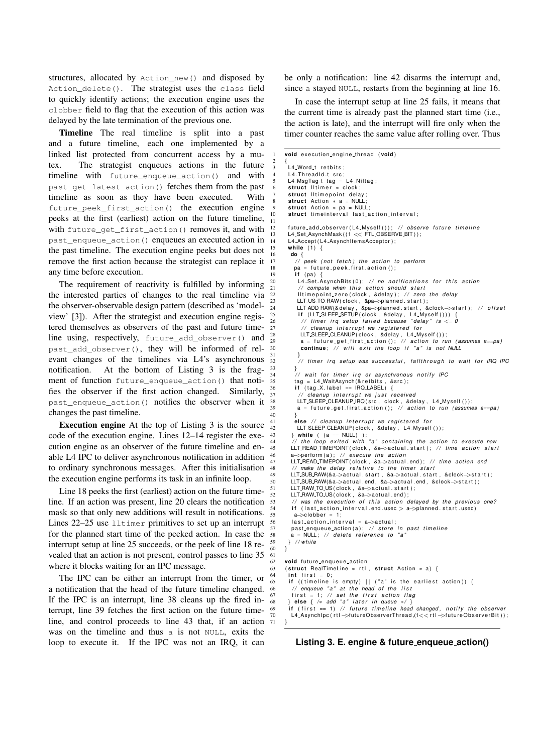*structures, allocated by* Action\_new() *and disposed by* Action\_delete()*. The strategist uses the* class *field to quickly identify actions; the execution engine uses the* clobber *field to flag that the execution of this action was delayed by the late termination of the previous one.*

Timeline *The real timeline is split into a past and a future timeline, each one implemented by a linked list protected from concurrent access by a mutex. The strategist enqueues actions in the future timeline with* future\_enqueue\_action() *and with* past\_get\_latest\_action() *fetches them from the past timeline as soon as they have been executed. With* future\_peek\_first\_action() *the execution engine peeks at the first (earliest) action on the future timeline, with* future\_get\_first\_action() *removes it, and with* past\_enqueue\_action() *enqueues an executed action in the past timeline. The execution engine peeks but does not remove the first action because the strategist can replace it* <sup>17</sup> *any time before execution.*

*11*

*40* }

*60* }

*The requirement of reactivity is fulfilled by informing the interested parties of changes to the real timeline via the observer-observable design pattern (described as 'modelview' [3]). After the strategist and execution engine registered themselves as observers of the past and future timeline using, respectively,* future\_add\_observer() *and* past\_add\_observer()*, they will be informed of rel*evant changes of the timelines via L4's asynchronous  $\frac{31}{32}$ *notification. At the bottom of Listing 3 is the fragment of function* future\_enqueue\_action() *that notifies the observer if the first action changed. Similarly,* past\_enqueue\_action() *notifies the observer when it changes the past timeline.*

Execution engine *At the top of Listing 3 is the source code of the execution engine. Lines 12–14 register the execution engine as an observer of the future timeline and enable L4 IPC to deliver asynchronous notification in addition to ordinary synchronous messages. After this initialisation the execution engine performs its task in an infinite loop.*

*Line 18 peeks the first (earliest) action on the future timeline. If an action was present, line 20 clears the notification mask so that only new additions will result in notifications. Lines 22–25 use* lltimer *primitives to set up an interrupt for the planned start time of the peeked action. In case the interrupt setup at line 25 succeeds, or the peek of line 18 revealed that an action is not present, control passes to line 35 61 where it blocks waiting for an IPC message.*

*The IPC can be either an interrupt from the timer, or a notification that the head of the future timeline changed. If the IPC is an interrupt, line 38 cleans up the fired interrupt, line 39 fetches the first action on the future timeline, and control proceeds to line 43 that, if an action 71* } *was on the timeline and thus* a *is not* NULL*, exits the loop to execute it. If the IPC was not an IRQ, it can*

*be only a notification: line 42 disarms the interrupt and, since* a *stayed* NULL*, restarts from the beginning at line 16.*

*In case the interrupt setup at line 25 fails, it means that the current time is already past the planned start time (i.e., the action is late), and the interrupt will fire only when the timer counter reaches the same value after rolling over. Thus*

```
1 void execution engine thread ( void )
  2 {
         L4 Word t retbits
         14 ThreadId t src
  5 L4 MsgTag t tag = L4 Niltag ;
6 struct lltimer ∗ clock ;
         struct lltimepoint delay
  8 struct Action ∗ a = NULL;
9 struct Action ∗ pa = NULL;
 10 struct timeinterval last action interval:
         12 future add observer ( L4 Myself ( ) ); // observe future timeline
         L4_Set_AsynchMask((1 << FTL_OBSERVE_BIT));
14 L4_Accept (L4_AsynchItemsAcceptor);<br>15 while (1) f
15 while (1) {
          16 do {
            17 / / peek ( not fetch ) the action to perform
            pa = future_peek_first_action();
19 if (pa) {
20 L4 Set AsynchBits (0); // no notifications for this action<br>21 // compute when this action should start
 21 / / compute when this action should start
22 lltimepoint ze ro ( clock , &delay ); // zero the delay
23 LLT_US_TO_RAW ( clock, &pa–>planned . start );<br>24 LLT_ADD_RAW (& delay _&pa–>planned_start _&
 24 LLT ADD RAW(& delay , &pa−>planned . start , &clock−>start ); // offset
25 i f ( LLT SLEEP SETUP ( clock , &delay , L4 Myself ( ) ) ) {
26 / / timer i r q setup f a i l e d because " delay " i s <= 0
 27     // cleanup interrupt we registered for<br>28      LLT.SLEEP.CLEANUP(clock, &delay, L4.Myself());<br>29     a = future.get.first.action(); // action to run (assumes a==pa)
               30 continue ; // will exit the loop if "a" is not NULL
              .<br>// timer irg setup was successful, fallthrough to wait for IRQ IPC
 33 }
34 / / wait for timer i rq or asynchronous n o t i f y IPC
            35 tag = L4 WaitAsynch(& r etbits , &src );
\begin{array}{cc} 36 \ 37 \ \end{array} if (tag X. label == IRQ_LABEL) {
                 zleanup interrupt we just received
 38          LLT_SLEEP_CLEANUP_IRQ(src, clock, &delay, L4_Myself());<br>39         a = future_get_first_action(); // action to run (assumes a==pa,
41 else // cleanup interrupt we registered for<br>A2 ILT SLEEP CLEANUP(clock & delay 1.4 Mysel
42 LLT SLEEP CLEANUP ( clock, &delay, L4 Myself ( ) );<br>43 Muhile ( (a == NULL) ) :
 43 } while ( ( a == NULL ) ) ;
44 // the loop exited with "a" containing the action to execute now
 45 LLT READ TIMEPOINT ( clo c k , &a−>actual . start ); // time action start
46 a−>perform (a ); // execute the action
47 LLT_READ_TIMEPOINT (clock, &a−>actual .end); // time action end<br>48 // make the delay relative to the timer start
 48   // make the delay relative to the timer start<br>49     LLT SUB RAW(&a−>actual start , &a−>actual start , &clock−>start);
50 LLT SUB RAW(&a−>a ct u a l . end , &a−>a ctual . end , &clock−>start );
 51 LLT RAW TO US ( clo c k , &a−>actual . start );
52 LLT RAW TO US ( clo c k , &a−>a ctual . end ) ;
              53 / / was the e xe cution of this action delayed by the previous one?
54 if ( last action interval . end . usec > a-\rightarrowplanned . start . usec )<br>55 a\rightarrowclobber = 1:
            55 a−>clobber = 1;
           56 last action interval = a−>actual ;
57 past enqueue action (a ); // store in past timeline
          58 a = NULL; // delete reference to "a"
       59 } // while
       void future enqueue action
63 (struct RealTimeLine * rtl, struct Action * a) {<br>64 int first = 0:
         int first = 0;
         if ((timeline is empty) || ("a" is the earliest action)) {
 66 //enqueue "a" at the head of the list<br>67 first = 1; // set the first action flag<br>68 } else { /* add "a" later in queue */}<br>69 if (first == 1) // future timeline head changed, notify the observel
       7000 L4 AsynchIpc ( rtl −>futureObserverThread ,(1<< rtl −<i>>futureObserverBit ) ;
```
**Listing 3. E. engine & future enqueue action()**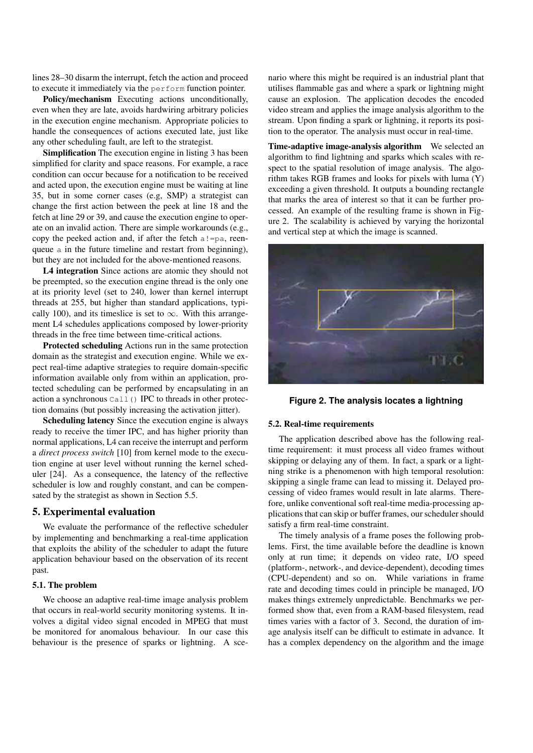*lines 28–30 disarm the interrupt, fetch the action and proceed to execute it immediately via the* perform *function pointer.*

Policy/mechanism *Executing actions unconditionally, even when they are late, avoids hardwiring arbitrary policies in the execution engine mechanism. Appropriate policies to handle the consequences of actions executed late, just like any other scheduling fault, are left to the strategist.*

Simplification *The execution engine in listing 3 has been simplified for clarity and space reasons. For example, a race condition can occur because for a notification to be received and acted upon, the execution engine must be waiting at line 35, but in some corner cases (e.g, SMP) a strategist can change the first action between the peek at line 18 and the fetch at line 29 or 39, and cause the execution engine to operate on an invalid action. There are simple workarounds (e.g., copy the peeked action and, if after the fetch* a!=pa*, reenqueue* a *in the future timeline and restart from beginning), but they are not included for the above-mentioned reasons.*

L4 integration *Since actions are atomic they should not be preempted, so the execution engine thread is the only one at its priority level (set to 240, lower than kernel interrupt threads at 255, but higher than standard applications, typically 100), and its timeslice is set to*  $\infty$ *. With this arrangement L4 schedules applications composed by lower-priority threads in the free time between time-critical actions.*

Protected scheduling *Actions run in the same protection domain as the strategist and execution engine. While we expect real-time adaptive strategies to require domain-specific information available only from within an application, protected scheduling can be performed by encapsulating in an action a synchronous* Call() *IPC to threads in other protection domains (but possibly increasing the activation jitter).*

Scheduling latency *Since the execution engine is always ready to receive the timer IPC, and has higher priority than normal applications, L4 can receive the interrupt and perform a direct process switch [10] from kernel mode to the execution engine at user level without running the kernel scheduler [24]. As a consequence, the latency of the reflective scheduler is low and roughly constant, and can be compensated by the strategist as shown in Section 5.5.*

#### 5. Experimental evaluation

*We evaluate the performance of the reflective scheduler by implementing and benchmarking a real-time application that exploits the ability of the scheduler to adapt the future application behaviour based on the observation of its recent past.*

### 5.1. The problem

*We choose an adaptive real-time image analysis problem that occurs in real-world security monitoring systems. It involves a digital video signal encoded in MPEG that must be monitored for anomalous behaviour. In our case this behaviour is the presence of sparks or lightning. A sce-* *nario where this might be required is an industrial plant that utilises flammable gas and where a spark or lightning might cause an explosion. The application decodes the encoded video stream and applies the image analysis algorithm to the stream. Upon finding a spark or lightning, it reports its position to the operator. The analysis must occur in real-time.*

Time-adaptive image-analysis algorithm *We selected an algorithm to find lightning and sparks which scales with respect to the spatial resolution of image analysis. The algorithm takes RGB frames and looks for pixels with luma (Y) exceeding a given threshold. It outputs a bounding rectangle that marks the area of interest so that it can be further processed. An example of the resulting frame is shown in Figure 2. The scalability is achieved by varying the horizontal and vertical step at which the image is scanned.*



**Figure 2. The analysis locates a lightning**

#### 5.2. Real-time requirements

*The application described above has the following realtime requirement: it must process all video frames without skipping or delaying any of them. In fact, a spark or a lightning strike is a phenomenon with high temporal resolution: skipping a single frame can lead to missing it. Delayed processing of video frames would result in late alarms. Therefore, unlike conventional soft real-time media-processing applications that can skip or buffer frames, our scheduler should satisfy a firm real-time constraint.*

*The timely analysis of a frame poses the following problems. First, the time available before the deadline is known only at run time; it depends on video rate, I/O speed (platform-, network-, and device-dependent), decoding times (CPU-dependent) and so on. While variations in frame rate and decoding times could in principle be managed, I/O makes things extremely unpredictable. Benchmarks we performed show that, even from a RAM-based filesystem, read times varies with a factor of 3. Second, the duration of image analysis itself can be difficult to estimate in advance. It has a complex dependency on the algorithm and the image*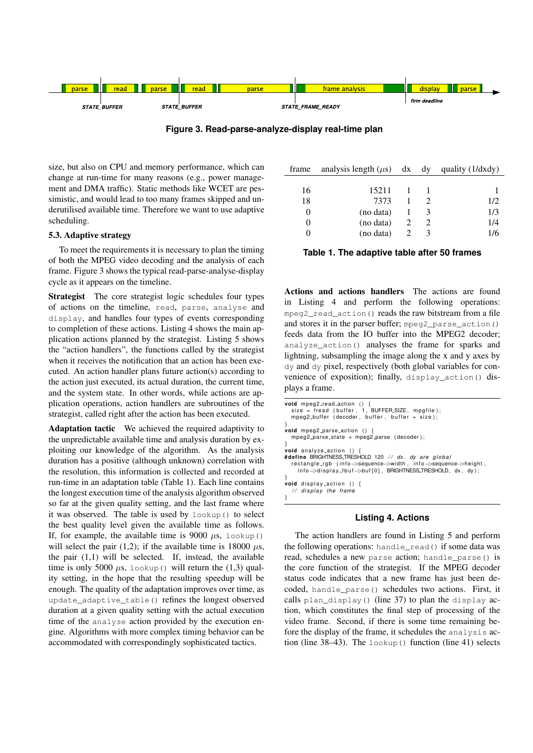

**Figure 3. Read-parse-analyze-display real-time plan**

*size, but also on CPU and memory performance, which can change at run-time for many reasons (e.g., power management and DMA traffic). Static methods like WCET are pessimistic, and would lead to too many frames skipped and underutilised available time. Therefore we want to use adaptive scheduling.*

#### 5.3. Adaptive strategy

*To meet the requirements it is necessary to plan the timing of both the MPEG video decoding and the analysis of each frame. Figure 3 shows the typical read-parse-analyse-display cycle as it appears on the timeline.*

Strategist *The core strategist logic schedules four types of actions on the timeline,* read*,* parse*,* analyse *and* display*, and handles four types of events corresponding to completion of these actions. Listing 4 shows the main application actions planned by the strategist. Listing 5 shows the "action handlers", the functions called by the strategist when it receives the notification that an action has been executed. An action handler plans future action(s) according to the action just executed, its actual duration, the current time, and the system state. In other words, while actions are application operations, action handlers are subroutines of the strategist, called right after the action has been executed.*

Adaptation tactic *We achieved the required adaptivity to the unpredictable available time and analysis duration by exploiting our knowledge of the algorithm. As the analysis duration has a positive (although unknown) correlation with the resolution, this information is collected and recorded at run-time in an adaptation table (Table 1). Each line contains the longest execution time of the analysis algorithm observed so far at the given quality setting, and the last frame where it was observed. The table is used by* lookup() *to select the best quality level given the available time as follows.* If, for example, the available time is  $9000 \mu s$ , lookup() will select the pair (1,2); if the available time is  $18000 \mu s$ , *the pair (1,1) will be selected. If, instead, the available* time is only 5000  $\mu$ s, lookup() will return the (1,3) qual*ity setting, in the hope that the resulting speedup will be enough. The quality of the adaptation improves over time, as* update\_adaptive\_table() *refines the longest observed duration at a given quality setting with the actual execution time of the* analyse *action provided by the execution engine. Algorithms with more complex timing behavior can be accommodated with correspondingly sophisticated tactics.*

| frame    | analysis length $(\mu s)$ dx dy quality (1/dxdy) |   |   |     |
|----------|--------------------------------------------------|---|---|-----|
|          |                                                  |   |   |     |
| 16       | 15211                                            |   |   |     |
| 18       | 7373                                             |   |   | 1/2 |
| 0        | (no data)                                        |   | 3 | 1/3 |
| $\theta$ | (no data)                                        | 2 |   | 1/4 |
| 0        | (no data)                                        |   | 3 | 1/6 |

**Table 1. The adaptive table after 50 frames**

Actions and actions handlers *The actions are found in Listing 4 and perform the following operations:* mpeg2\_read\_action() *reads the raw bitstream from a file and stores it in the parser buffer;* mpeg2\_parse\_action() *feeds data from the IO buffer into the MPEG2 decoder;* analyze\_action() *analyses the frame for sparks and lightning, subsampling the image along the x and y axes by* dy *and* dy *pixel, respectively (both global variables for convenience of exposition); finally,* display\_action() *displays a frame.*

```
void mpeg2_read_action () {<br>size = fread (buffer, 1,
                            i, BUFFER SIZE, mpgfile );
  mpeg2_buffer (decoder, buffer, buffer + size);
}
void mpeg2 parse action () {
  mpeq2-parse-state = mpeq2.parse (decoder);
}<br>void analyze action () {<br>#define BRIGHTNESS TRESHOLD 120 // dx. dy are globa.
  rectangle rgb ( info−>sequence−>width , info−>sequence−>height ,
    info−>display fbuf−>buf [ 0 ] , BRIGHTNESS TRESHOLD, dx , dy ) ;
}
void display action () {
  // display the frame
}
```
### **Listing 4. Actions**

*The action handlers are found in Listing 5 and perform the following operations:* handle\_read() *if some data was read, schedules a new* parse *action;* handle\_parse() *is the core function of the strategist. If the MPEG decoder status code indicates that a new frame has just been decoded,* handle\_parse() *schedules two actions. First, it calls* plan\_display() *(line 37) to plan the* display *action, which constitutes the final step of processing of the video frame. Second, if there is some time remaining before the display of the frame, it schedules the* analysis *action (line 38–43). The* lookup() *function (line 41) selects*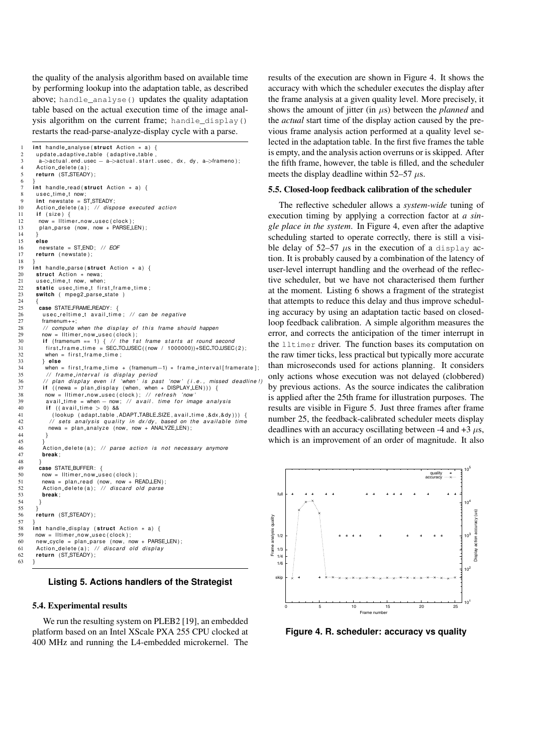*the quality of the analysis algorithm based on available time by performing lookup into the adaptation table, as described above;* handle\_analyse() *updates the quality adaptation table based on the actual execution time of the image analysis algorithm on the current frame;* handle\_display() *restarts the read-parse-analyze-display cycle with a parse.*

*6* }

*14* }

*18* }

*24* {

*45* }

*48* }

*54* } *55* }

57<br>58<br>59

*63* }

```
1 int handle analyse ( struct Action ∗ a ) {
       update_adaptive_table ( adaptive_table
 3 a−>a ctual . end . usec − a−>actual . start . usec , dx , dy , a−>frameno );
       Action-delete (a)
 5 return (ST STEADY ) ;
 7 int handle read (struct Action ∗ a) {<br>8 used time t now:
       usec_time_t_now
       int newstate = ST_STEADY;
10 Action delete (a); // dispose executed action
11 i f ( size ) {
         now = 11 timer_now_usec ( clock );
         plan parse (now, now + PARSE LEN);
15 else
         newstate = ST FND: // FOF17 return ( newstate );
      19 int handle parse ( struct Action ∗ a ) {
       20 struct Action ∗ newa ;
21 usec_time_t now, when<br>
22 static usec_time_t fir<br>
23 switch (mpeg2_parse_
       static usec_time_t first_frame_time;
       23 switch ( mpeg2 parse state )
         25 case STATE FRAME READY: {
          26 usec reltime t avail time ; / / can be negative
27 framenum++;<br>
28 // compute<br>
29 now = lltime<br>
30 if (framenum
          28 / / compute when the display of this frame should happen
          now = litimer_new_user(clock);
30 if (framenum == 1) { // the 1st frame starts at round second<br>31 i first_frame_time = SEC_TO_USEC((now / 1000000))+SEC_TO_USEC
           first_frame_time = SEC_TO_USEC((now / 1000000))+SEC_TO_USEC(2);
32 when = first_frame_time;<br>33 } else
33 } else
           when = first_frame_time + (framenum-1) * frame_interval[framerate];
35       // frame_interval is display period<br>36      // plan display even if 'when' is past 'now' (i.e., missed deadline!)
37 i f ( ( newa = p l a n d i s p l a y ( when , when + DISPLAY LEN ) ) ) {
38 now = l lt im e r now usec ( clock ); / / r ef r e s h ' now '
39 avail time = when − now ; // avail . time for image analysis
           40 i f (( avail time > 0 ) &&
41 (lookup (adapt.table, ADAPT_TABLE_SIZE, avail.time, &dx,&dy))) {<br>42 // sets analysis quality in dx/dy, based on the available time
42 // sets analysis qua l it y in dx / dy , based on the a v a i l a b l e time
43 newa = p l a n a n a l y z e ( now , now + ANALYZE LEN ) ;
44 }
          46 Action delete (a); // parse action is not necessary anymore
          47 break ;
49 case STATE BUFFER: {
50 now = lltimer_now_usec(clock);<br>51 newa = plan_read (now, now + F
51 newa = plan_read (now, now + READ LEN);<br>52 Action_delete(a); // discard old parse<br>53 break;
          52 Action delete (a); // discard old parse
         53 break ;
       return (ST_STEADY);
      int handle_display (struct Action * a) {
59 now = litimer_now_usec(clock);<br>60 new_cycle = plan_parse (now, n
       new cycle = plan parse (now, now + PARSE LEN);<br>Action delete (a); // discard old display
61 Action delete (a); // discard old display
       return (ST_STEADY) ;
```
### **Listing 5. Actions handlers of the Strategist**

#### 5.4. Experimental results

*We run the resulting system on PLEB2 [19], an embedded platform based on an Intel XScale PXA 255 CPU clocked at 400 MHz and running the L4-embedded microkernel. The* *results of the execution are shown in Figure 4. It shows the accuracy with which the scheduler executes the display after the frame analysis at a given quality level. More precisely, it shows the amount of jitter (in*  $\mu$ *s) between the <i>planned* and *the actual start time of the display action caused by the previous frame analysis action performed at a quality level selected in the adaptation table. In the first five frames the table is empty, and the analysis action overruns or is skipped. After the fifth frame, however, the table is filled, and the scheduler meets the display deadline within 52–57* µ*s.*

#### 5.5. Closed-loop feedback calibration of the scheduler

*The reflective scheduler allows a system-wide tuning of execution timing by applying a correction factor at a single place in the system. In Figure 4, even after the adaptive scheduling started to operate correctly, there is still a visi*ble delay of  $52-57$   $\mu$ s in the execution of a display ac*tion. It is probably caused by a combination of the latency of user-level interrupt handling and the overhead of the reflective scheduler, but we have not characterised them further at the moment. Listing 6 shows a fragment of the strategist that attempts to reduce this delay and thus improve scheduling accuracy by using an adaptation tactic based on closedloop feedback calibration. A simple algorithm measures the error, and corrects the anticipation of the timer interrupt in the* lltimer *driver. The function bases its computation on the raw timer ticks, less practical but typically more accurate than microseconds used for actions planning. It considers only actions whose execution was not delayed (clobbered) by previous actions. As the source indicates the calibration is applied after the 25th frame for illustration purposes. The results are visible in Figure 5. Just three frames after frame number 25, the feedback-calibrated scheduler meets display deadlines with an accuracy oscillating between -4 and +3* µ*s, which is an improvement of an order of magnitude. It also*



**Figure 4. R. scheduler: accuracy vs quality**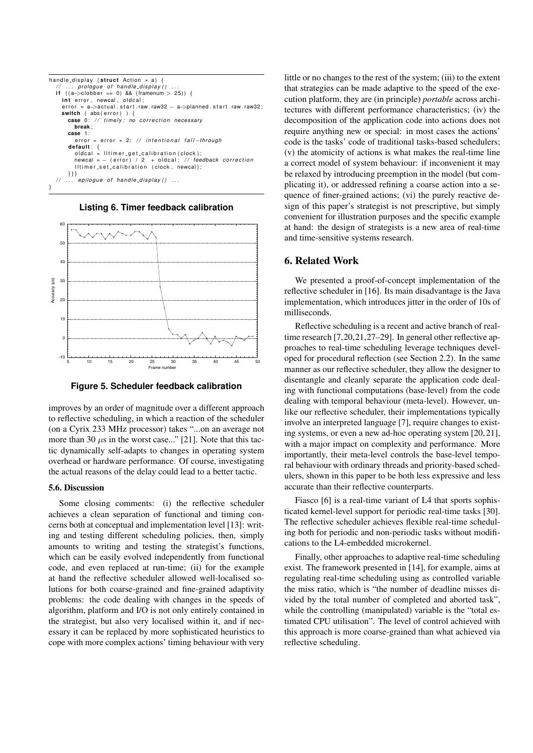```
handle<sub>-</sub>display (struct Action * a) {
   // ... prologue of handle_display() ...<br>
if ((a−>clobber == 0) && (framenum > 25)) {
     int error, newcal, oldcal;
     error = a-\geactual.start.raw.raw32 - a-\geplanned.start.raw.raw32;
     switch ( abs(error) ) {<br>case 0: // timely: notimely: no correction necessarybreak ;
        case 1:
                      error = error ∗ 2; // intentional fall −through
        default:<br>oldcal
                    {<br>= lltimer_get_calibration ( clock );<br>= - (error) / 2 + oldcal; // fee
                                            newcal = − ( error ) / 2 + oldcal ; // feedback correction
           lltimer_set_calibration (clock, newcal);
        }}}
  // ... epilogue of handle display () ...
}
```
**Listing 6. Timer feedback calibration**



**Figure 5. Scheduler feedback calibration**

*improves by an order of magnitude over a different approach to reflective scheduling, in which a reaction of the scheduler (on a Cyrix 233 MHz processor) takes "...on an average not* more than 30  $\mu$ s in the worst case..." [21]. Note that this tac*tic dynamically self-adapts to changes in operating system overhead or hardware performance. Of course, investigating the actual reasons of the delay could lead to a better tactic.*

### 5.6. Discussion

*Some closing comments: (i) the reflective scheduler achieves a clean separation of functional and timing concerns both at conceptual and implementation level [13]: writing and testing different scheduling policies, then, simply amounts to writing and testing the strategist's functions, which can be easily evolved independently from functional code, and even replaced at run-time; (ii) for the example at hand the reflective scheduler allowed well-localised solutions for both coarse-grained and fine-grained adaptivity problems: the code dealing with changes in the speeds of algorithm, platform and I/O is not only entirely contained in the strategist, but also very localised within it, and if necessary it can be replaced by more sophisticated heuristics to cope with more complex actions' timing behaviour with very*

*little or no changes to the rest of the system; (iii) to the extent that strategies can be made adaptive to the speed of the execution platform, they are (in principle) portable across architectures with different performance characteristics; (iv) the decomposition of the application code into actions does not require anything new or special: in most cases the actions' code is the tasks' code of traditional tasks-based schedulers; (v) the atomicity of actions is what makes the real-time line a correct model of system behaviour: if inconvenient it may be relaxed by introducing preemption in the model (but complicating it), or addressed refining a coarse action into a sequence of finer-grained actions; (vi) the purely reactive design of this paper's strategist is not prescriptive, but simply convenient for illustration purposes and the specific example at hand: the design of strategists is a new area of real-time and time-sensitive systems research.*

### 6. Related Work

*We presented a proof-of-concept implementation of the reflective scheduler in [16]. Its main disadvantage is the Java implementation, which introduces jitter in the order of 10s of milliseconds.*

*Reflective scheduling is a recent and active branch of realtime research [7,20,21,27–29]. In general other reflective approaches to real-time scheduling leverage techniques developed for procedural reflection (see Section 2.2). In the same manner as our reflective scheduler, they allow the designer to disentangle and cleanly separate the application code dealing with functional computations (base-level) from the code dealing with temporal behaviour (meta-level). However, unlike our reflective scheduler, their implementations typically involve an interpreted language [7], require changes to existing systems, or even a new ad-hoc operating system [20, 21], with a major impact on complexity and performance. More importantly, their meta-level controls the base-level temporal behaviour with ordinary threads and priority-based schedulers, shown in this paper to be both less expressive and less accurate than their reflective counterparts.*

*Fiasco [6] is a real-time variant of L4 that sports sophisticated kernel-level support for periodic real-time tasks [30]. The reflective scheduler achieves flexible real-time scheduling both for periodic and non-periodic tasks without modifications to the L4-embedded microkernel.*

*Finally, other approaches to adaptive real-time scheduling exist. The framework presented in [14], for example, aims at regulating real-time scheduling using as controlled variable the miss ratio, which is "the number of deadline misses divided by the total number of completed and aborted task", while the controlling (manipulated) variable is the "total estimated CPU utilisation". The level of control achieved with this approach is more coarse-grained than what achieved via reflective scheduling.*